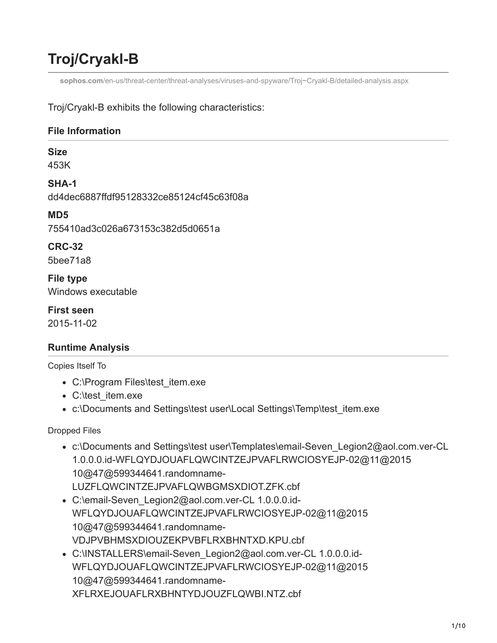## **Troj/Cryakl-B**

**sophos.com**[/en-us/threat-center/threat-analyses/viruses-and-spyware/Troj~Cryakl-B/detailed-analysis.aspx](https://www.sophos.com/en-us/threat-center/threat-analyses/viruses-and-spyware/Troj~Cryakl-B/detailed-analysis.aspx)

Troj/Cryakl-B exhibits the following characteristics:

## **File Information**

## **Size**

453K

**SHA-1** dd4dec6887ffdf95128332ce85124cf45c63f08a

**MD5** 755410ad3c026a673153c382d5d0651a

**CRC-32** 5bee71a8

**File type** Windows executable

**First seen** 2015-11-02

## **Runtime Analysis**

Copies Itself To

- C:\Program Files\test\_item.exe
- C:\test\_item.exe
- c:\Documents and Settings\test user\Local Settings\Temp\test\_item.exe

Dropped Files

- c:\Documents and Settings\test user\Templates\email-Seven\_Legion2@aol.com.ver-CL 1.0.0.0.id-WFLQYDJOUAFLQWCINTZEJPVAFLRWCIOSYEJP-02@11@2015 10@47@599344641.randomname-LUZFLQWCINTZEJPVAFLQWBGMSXDIOT.ZFK.cbf
- C:\email-Seven\_Legion2@aol.com.ver-CL 1.0.0.0.id-WFLQYDJOUAFLQWCINTZEJPVAFLRWCIOSYEJP-02@11@2015 10@47@599344641.randomname-VDJPVBHMSXDIOUZEKPVBFLRXBHNTXD.KPU.cbf
- C:\INSTALLERS\email-Seven\_Legion2@aol.com.ver-CL 1.0.0.0.id-WFLQYDJOUAFLQWCINTZEJPVAFLRWCIOSYEJP-02@11@2015 10@47@599344641.randomname-XFLRXEJOUAFLRXBHNTYDJOUZFLQWBI.NTZ.cbf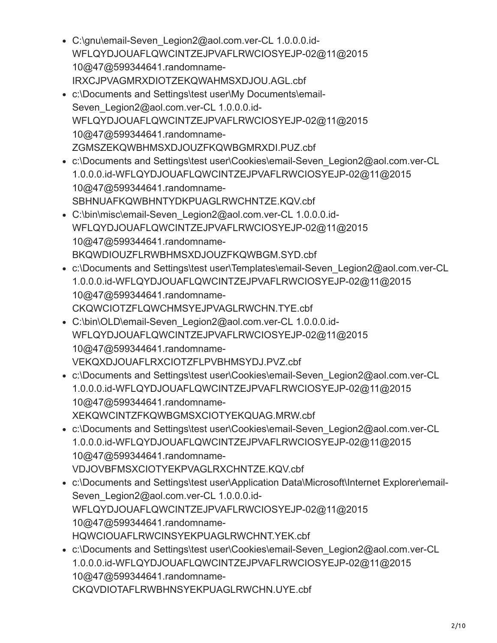- C:\gnu\email-Seven\_Legion2@aol.com.ver-CL 1.0.0.0.id-WFLQYDJOUAFLQWCINTZEJPVAFLRWCIOSYEJP-02@11@2015 10@47@599344641.randomname-IRXCJPVAGMRXDIOTZEKQWAHMSXDJOU.AGL.cbf
- c:\Documents and Settings\test user\My Documents\email-Seven\_Legion2@aol.com.ver-CL 1.0.0.0.id-WFLQYDJOUAFLQWCINTZEJPVAFLRWCIOSYEJP-02@11@2015 10@47@599344641.randomname-ZGMSZEKQWBHMSXDJOUZFKQWBGMRXDI.PUZ.cbf
- c:\Documents and Settings\test user\Cookies\email-Seven\_Legion2@aol.com.ver-CL 1.0.0.0.id-WFLQYDJOUAFLQWCINTZEJPVAFLRWCIOSYEJP-02@11@2015 10@47@599344641.randomname-SBHNUAFKQWBHNTYDKPUAGLRWCHNTZE.KQV.cbf
- C:\bin\misc\email-Seven\_Legion2@aol.com.ver-CL 1.0.0.0.id-WFLQYDJOUAFLQWCINTZEJPVAFLRWCIOSYEJP-02@11@2015 10@47@599344641.randomname-BKQWDIOUZFLRWBHMSXDJOUZFKQWBGM.SYD.cbf
- c:\Documents and Settings\test user\Templates\email-Seven\_Legion2@aol.com.ver-CL 1.0.0.0.id-WFLQYDJOUAFLQWCINTZEJPVAFLRWCIOSYEJP-02@11@2015 10@47@599344641.randomname-CKQWCIOTZFLQWCHMSYEJPVAGLRWCHN.TYE.cbf
- C:\bin\OLD\email-Seven\_Legion2@aol.com.ver-CL 1.0.0.0.id-WFLQYDJOUAFLQWCINTZEJPVAFLRWCIOSYEJP-02@11@2015 10@47@599344641.randomname-VEKQXDJOUAFLRXCIOTZFLPVBHMSYDJ.PVZ.cbf
- c:\Documents and Settings\test user\Cookies\email-Seven\_Legion2@aol.com.ver-CL 1.0.0.0.id-WFLQYDJOUAFLQWCINTZEJPVAFLRWCIOSYEJP-02@11@2015 10@47@599344641.randomname-XEKQWCINTZFKQWBGMSXCIOTYEKQUAG.MRW.cbf
- c:\Documents and Settings\test user\Cookies\email-Seven\_Legion2@aol.com.ver-CL 1.0.0.0.id-WFLQYDJOUAFLQWCINTZEJPVAFLRWCIOSYEJP-02@11@2015 10@47@599344641.randomname-VDJOVBFMSXCIOTYEKPVAGLRXCHNTZE.KQV.cbf
- c:\Documents and Settings\test user\Application Data\Microsoft\Internet Explorer\email-Seven\_Legion2@aol.com.ver-CL 1.0.0.0.id-WFLQYDJOUAFLQWCINTZEJPVAFLRWCIOSYEJP-02@11@2015 10@47@599344641.randomname-HQWCIOUAFLRWCINSYEKPUAGLRWCHNT.YEK.cbf
- c:\Documents and Settings\test user\Cookies\email-Seven\_Legion2@aol.com.ver-CL 1.0.0.0.id-WFLQYDJOUAFLQWCINTZEJPVAFLRWCIOSYEJP-02@11@2015 10@47@599344641.randomname-CKQVDIOTAFLRWBHNSYEKPUAGLRWCHN.UYE.cbf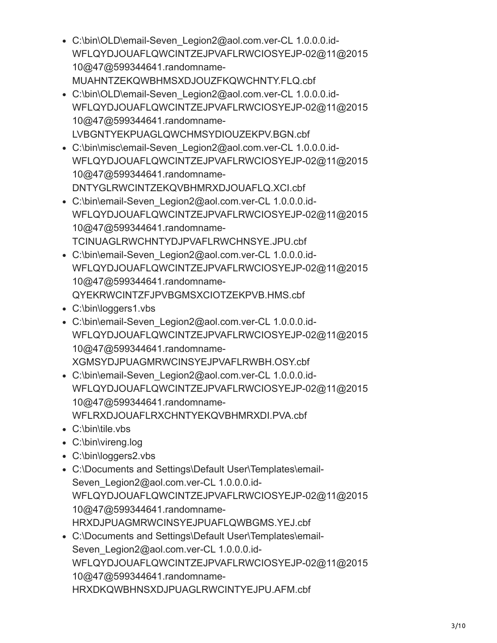- C:\bin\OLD\email-Seven\_Legion2@aol.com.ver-CL 1.0.0.0.id-WFLQYDJOUAFLQWCINTZEJPVAFLRWCIOSYEJP-02@11@2015 10@47@599344641.randomname-MUAHNTZEKQWBHMSXDJOUZFKQWCHNTY.FLQ.cbf
- C:\bin\OLD\email-Seven\_Legion2@aol.com.ver-CL 1.0.0.0.id-WFLQYDJOUAFLQWCINTZEJPVAFLRWCIOSYEJP-02@11@2015 10@47@599344641.randomname-LVBGNTYEKPUAGLQWCHMSYDIOUZEKPV.BGN.cbf
- C:\bin\misc\email-Seven\_Legion2@aol.com.ver-CL 1.0.0.0.id-WFLQYDJOUAFLQWCINTZEJPVAFLRWCIOSYEJP-02@11@2015 10@47@599344641.randomname-DNTYGLRWCINTZEKQVBHMRXDJOUAFLQ.XCI.cbf
- C:\bin\email-Seven\_Legion2@aol.com.ver-CL 1.0.0.0.id-WFLQYDJOUAFLQWCINTZEJPVAFLRWCIOSYEJP-02@11@2015 10@47@599344641.randomname-TCINUAGLRWCHNTYDJPVAFLRWCHNSYE.JPU.cbf
- C:\bin\email-Seven\_Legion2@aol.com.ver-CL 1.0.0.0.id-WFLQYDJOUAFLQWCINTZEJPVAFLRWCIOSYEJP-02@11@2015 10@47@599344641.randomname-QYEKRWCINTZFJPVBGMSXCIOTZEKPVB.HMS.cbf
- C:\bin\loggers1.vbs
- C:\bin\email-Seven\_Legion2@aol.com.ver-CL 1.0.0.0.id-WFLQYDJOUAFLQWCINTZEJPVAFLRWCIOSYEJP-02@11@2015 10@47@599344641.randomname-XGMSYDJPUAGMRWCINSYEJPVAFLRWBH.OSY.cbf
- C:\bin\email-Seven\_Legion2@aol.com.ver-CL 1.0.0.0.id-WFLQYDJOUAFLQWCINTZEJPVAFLRWCIOSYEJP-02@11@2015 10@47@599344641.randomname-WFLRXDJOUAFLRXCHNTYEKQVBHMRXDI.PVA.cbf
- C:\bin\tile.vbs
- C:\bin\vireng.log
- C:\bin\loggers2.vbs
- C:\Documents and Settings\Default User\Templates\email-Seven\_Legion2@aol.com.ver-CL 1.0.0.0.id-WFLQYDJOUAFLQWCINTZEJPVAFLRWCIOSYEJP-02@11@2015 10@47@599344641.randomname-HRXDJPUAGMRWCINSYEJPUAFLQWBGMS.YEJ.cbf
- C:\Documents and Settings\Default User\Templates\email-Seven\_Legion2@aol.com.ver-CL 1.0.0.0.id-WFLQYDJOUAFLQWCINTZEJPVAFLRWCIOSYEJP-02@11@2015 10@47@599344641.randomname-HRXDKQWBHNSXDJPUAGLRWCINTYEJPU.AFM.cbf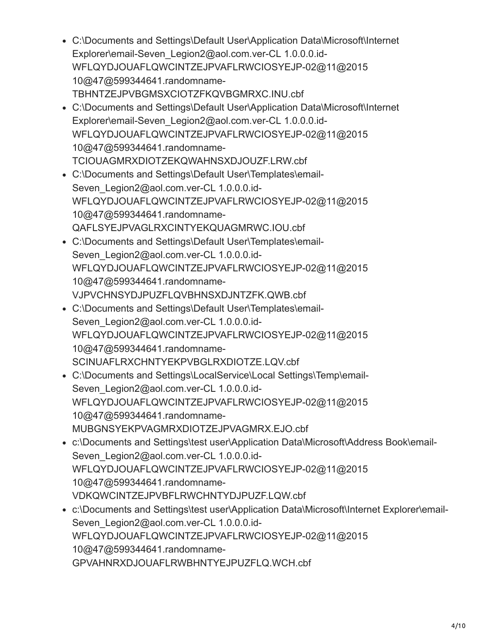- C:\Documents and Settings\Default User\Application Data\Microsoft\Internet Explorer\email-Seven\_Legion2@aol.com.ver-CL 1.0.0.0.id-WFLQYDJOUAFLQWCINTZEJPVAFLRWCIOSYEJP-02@11@2015 10@47@599344641.randomname-TBHNTZEJPVBGMSXCIOTZFKQVBGMRXC.INU.cbf
- C:\Documents and Settings\Default User\Application Data\Microsoft\Internet Explorer\email-Seven\_Legion2@aol.com.ver-CL 1.0.0.0.id-WFLQYDJOUAFLQWCINTZEJPVAFLRWCIOSYEJP-02@11@2015 10@47@599344641.randomname-TCIOUAGMRXDIOTZEKQWAHNSXDJOUZF.LRW.cbf
- C:\Documents and Settings\Default User\Templates\email-Seven\_Legion2@aol.com.ver-CL 1.0.0.0.id-WFLQYDJOUAFLQWCINTZEJPVAFLRWCIOSYEJP-02@11@2015 10@47@599344641.randomname-QAFLSYEJPVAGLRXCINTYEKQUAGMRWC.IOU.cbf
- C:\Documents and Settings\Default User\Templates\email-Seven\_Legion2@aol.com.ver-CL 1.0.0.0.id-WFLQYDJOUAFLQWCINTZEJPVAFLRWCIOSYEJP-02@11@2015 10@47@599344641.randomname-VJPVCHNSYDJPUZFLQVBHNSXDJNTZFK.QWB.cbf
- C:\Documents and Settings\Default User\Templates\email-Seven\_Legion2@aol.com.ver-CL 1.0.0.0.id-WFLQYDJOUAFLQWCINTZEJPVAFLRWCIOSYEJP-02@11@2015 10@47@599344641.randomname-SCINUAFLRXCHNTYEKPVBGLRXDIOTZE.LQV.cbf
- C:\Documents and Settings\LocalService\Local Settings\Temp\email-Seven\_Legion2@aol.com.ver-CL 1.0.0.0.id-WFLQYDJOUAFLQWCINTZEJPVAFLRWCIOSYEJP-02@11@2015 10@47@599344641.randomname-MUBGNSYEKPVAGMRXDIOTZEJPVAGMRX.EJO.cbf
- c:\Documents and Settings\test user\Application Data\Microsoft\Address Book\email-Seven\_Legion2@aol.com.ver-CL 1.0.0.0.id-WFLQYDJOUAFLQWCINTZEJPVAFLRWCIOSYEJP-02@11@2015 10@47@599344641.randomname-VDKQWCINTZEJPVBFLRWCHNTYDJPUZF.LQW.cbf
- c:\Documents and Settings\test user\Application Data\Microsoft\Internet Explorer\email-Seven\_Legion2@aol.com.ver-CL 1.0.0.0.id-WFLQYDJOUAFLQWCINTZEJPVAFLRWCIOSYEJP-02@11@2015 10@47@599344641.randomname-GPVAHNRXDJOUAFLRWBHNTYEJPUZFLQ.WCH.cbf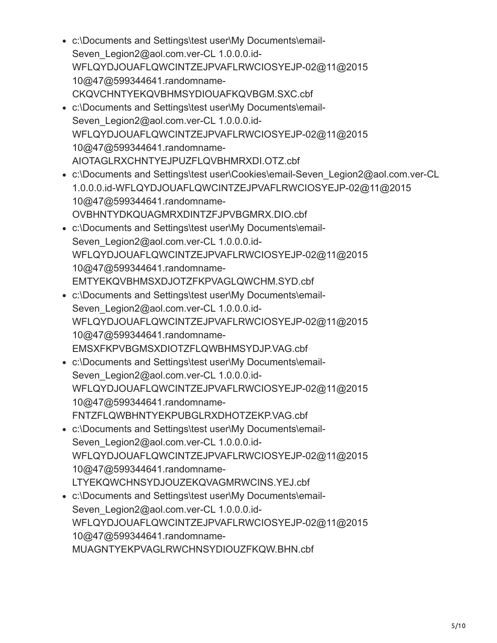- c:\Documents and Settings\test user\My Documents\email-Seven\_Legion2@aol.com.ver-CL 1.0.0.0.id-WFLQYDJOUAFLQWCINTZEJPVAFLRWCIOSYEJP-02@11@2015 10@47@599344641.randomname-CKQVCHNTYEKQVBHMSYDIOUAFKQVBGM.SXC.cbf
- c:\Documents and Settings\test user\My Documents\email-Seven\_Legion2@aol.com.ver-CL 1.0.0.0.id-WFLQYDJOUAFLQWCINTZEJPVAFLRWCIOSYEJP-02@11@2015 10@47@599344641.randomname-AIOTAGLRXCHNTYEJPUZFLQVBHMRXDI.OTZ.cbf
- c:\Documents and Settings\test user\Cookies\email-Seven\_Legion2@aol.com.ver-CL 1.0.0.0.id-WFLQYDJOUAFLQWCINTZEJPVAFLRWCIOSYEJP-02@11@2015 10@47@599344641.randomname-OVBHNTYDKQUAGMRXDINTZFJPVBGMRX.DIO.cbf
- c:\Documents and Settings\test user\My Documents\email-Seven\_Legion2@aol.com.ver-CL 1.0.0.0.id-WFLQYDJOUAFLQWCINTZEJPVAFLRWCIOSYEJP-02@11@2015 10@47@599344641.randomname-EMTYEKQVBHMSXDJOTZFKPVAGLQWCHM.SYD.cbf
- c:\Documents and Settings\test user\My Documents\email-Seven\_Legion2@aol.com.ver-CL 1.0.0.0.id-WFLQYDJOUAFLQWCINTZEJPVAFLRWCIOSYEJP-02@11@2015 10@47@599344641.randomname-EMSXFKPVBGMSXDIOTZFLQWBHMSYDJP.VAG.cbf
- c:\Documents and Settings\test user\My Documents\email-Seven\_Legion2@aol.com.ver-CL 1.0.0.0.id-WFLQYDJOUAFLQWCINTZEJPVAFLRWCIOSYEJP-02@11@2015 10@47@599344641.randomname-FNTZFLQWBHNTYEKPUBGLRXDHOTZEKP.VAG.cbf
- c:\Documents and Settings\test user\My Documents\email-Seven\_Legion2@aol.com.ver-CL 1.0.0.0.id-WFLQYDJOUAFLQWCINTZEJPVAFLRWCIOSYEJP-02@11@2015 10@47@599344641.randomname-LTYEKQWCHNSYDJOUZEKQVAGMRWCINS.YEJ.cbf
- c:\Documents and Settings\test user\My Documents\email-Seven\_Legion2@aol.com.ver-CL 1.0.0.0.id-WFLQYDJOUAFLQWCINTZEJPVAFLRWCIOSYEJP-02@11@2015 10@47@599344641.randomname-MUAGNTYEKPVAGLRWCHNSYDIOUZFKQW.BHN.cbf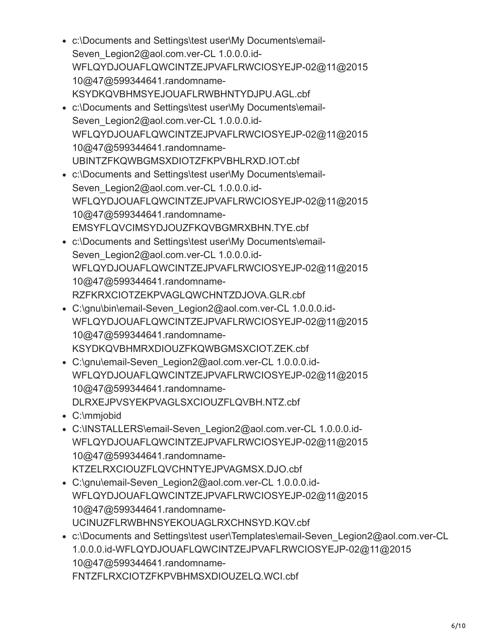- c:\Documents and Settings\test user\My Documents\email-Seven\_Legion2@aol.com.ver-CL 1.0.0.0.id-WFLQYDJOUAFLQWCINTZEJPVAFLRWCIOSYEJP-02@11@2015 10@47@599344641.randomname-KSYDKQVBHMSYEJOUAFLRWBHNTYDJPU.AGL.cbf
- c:\Documents and Settings\test user\My Documents\email-Seven\_Legion2@aol.com.ver-CL 1.0.0.0.id-WFLQYDJOUAFLQWCINTZEJPVAFLRWCIOSYEJP-02@11@2015 10@47@599344641.randomname-UBINTZFKQWBGMSXDIOTZFKPVBHLRXD.IOT.cbf
- c:\Documents and Settings\test user\My Documents\email-Seven\_Legion2@aol.com.ver-CL 1.0.0.0.id-WFLQYDJOUAFLQWCINTZEJPVAFLRWCIOSYEJP-02@11@2015 10@47@599344641.randomname-EMSYFLQVCIMSYDJOUZFKQVBGMRXBHN.TYE.cbf
- c:\Documents and Settings\test user\My Documents\email-Seven\_Legion2@aol.com.ver-CL 1.0.0.0.id-WFLQYDJOUAFLQWCINTZEJPVAFLRWCIOSYEJP-02@11@2015 10@47@599344641.randomname-RZFKRXCIOTZEKPVAGLQWCHNTZDJOVA.GLR.cbf
- C:\gnu\bin\email-Seven\_Legion2@aol.com.ver-CL 1.0.0.0.id-WFLQYDJOUAFLQWCINTZEJPVAFLRWCIOSYEJP-02@11@2015 10@47@599344641.randomname-KSYDKQVBHMRXDIOUZFKQWBGMSXCIOT.ZEK.cbf
- C:\gnu\email-Seven\_Legion2@aol.com.ver-CL 1.0.0.0.id-WFLQYDJOUAFLQWCINTZEJPVAFLRWCIOSYEJP-02@11@2015 10@47@599344641.randomname-DLRXEJPVSYEKPVAGLSXCIOUZFLQVBH.NTZ.cbf
- C:\mmjobid
- C:\INSTALLERS\email-Seven\_Legion2@aol.com.ver-CL 1.0.0.0.id-WFLQYDJOUAFLQWCINTZEJPVAFLRWCIOSYEJP-02@11@2015 10@47@599344641.randomname-KTZELRXCIOUZFLQVCHNTYEJPVAGMSX.DJO.cbf
- C:\gnu\email-Seven\_Legion2@aol.com.ver-CL 1.0.0.0.id-WFLQYDJOUAFLQWCINTZEJPVAFLRWCIOSYEJP-02@11@2015 10@47@599344641.randomname-UCINUZFLRWBHNSYEKOUAGLRXCHNSYD.KQV.cbf
- c:\Documents and Settings\test user\Templates\email-Seven\_Legion2@aol.com.ver-CL 1.0.0.0.id-WFLQYDJOUAFLQWCINTZEJPVAFLRWCIOSYEJP-02@11@2015 10@47@599344641.randomname-FNTZFLRXCIOTZFKPVBHMSXDIOUZELQ.WCI.cbf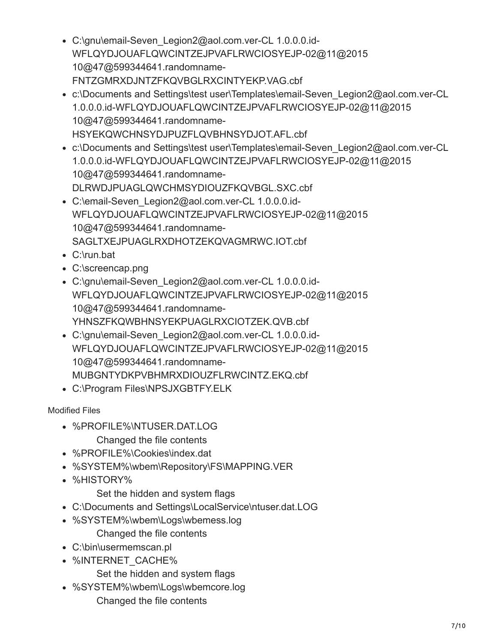- C:\gnu\email-Seven\_Legion2@aol.com.ver-CL 1.0.0.0.id-WFLQYDJOUAFLQWCINTZEJPVAFLRWCIOSYEJP-02@11@2015 10@47@599344641.randomname-FNTZGMRXDJNTZFKQVBGLRXCINTYEKP.VAG.cbf
- c:\Documents and Settings\test user\Templates\email-Seven\_Legion2@aol.com.ver-CL 1.0.0.0.id-WFLQYDJOUAFLQWCINTZEJPVAFLRWCIOSYEJP-02@11@2015 10@47@599344641.randomname-HSYEKQWCHNSYDJPUZFLQVBHNSYDJOT.AFL.cbf
- c:\Documents and Settings\test user\Templates\email-Seven\_Legion2@aol.com.ver-CL 1.0.0.0.id-WFLQYDJOUAFLQWCINTZEJPVAFLRWCIOSYEJP-02@11@2015 10@47@599344641.randomname-DLRWDJPUAGLQWCHMSYDIOUZFKQVBGL.SXC.cbf
- C:\email-Seven\_Legion2@aol.com.ver-CL 1.0.0.0.id-WFLQYDJOUAFLQWCINTZEJPVAFLRWCIOSYEJP-02@11@2015 10@47@599344641.randomname-SAGLTXEJPUAGLRXDHOTZEKQVAGMRWC.IOT.cbf
- C:\run.bat
- C:\screencap.png
- C:\gnu\email-Seven\_Legion2@aol.com.ver-CL 1.0.0.0.id-WFLQYDJOUAFLQWCINTZEJPVAFLRWCIOSYEJP-02@11@2015 10@47@599344641.randomname-YHNSZFKQWBHNSYEKPUAGLRXCIOTZEK.QVB.cbf
- C:\gnu\email-Seven\_Legion2@aol.com.ver-CL 1.0.0.0.id-WFLQYDJOUAFLQWCINTZEJPVAFLRWCIOSYEJP-02@11@2015 10@47@599344641.randomname-MUBGNTYDKPVBHMRXDIOUZFLRWCINTZ.EKQ.cbf
- C:\Program Files\NPSJXGBTFY.ELK

Modified Files

- %PROFILE%\NTUSER.DAT.LOG Changed the file contents
- %PROFILE%\Cookies\index.dat
- %SYSTEM%\wbem\Repository\FS\MAPPING.VER
- %HISTORY%

Set the hidden and system flags

- C:\Documents and Settings\LocalService\ntuser.dat.LOG
- %SYSTEM%\wbem\Logs\wbemess.log

Changed the file contents

- C:\bin\usermemscan.pl
- %INTERNET\_CACHE%
	- Set the hidden and system flags
- %SYSTEM%\wbem\Logs\wbemcore.log Changed the file contents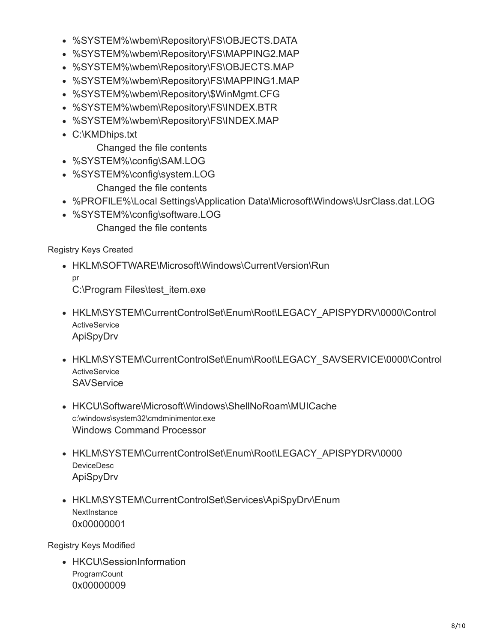- %SYSTEM%\wbem\Repository\FS\OBJECTS.DATA
- %SYSTEM%\wbem\Repository\FS\MAPPING2.MAP
- %SYSTEM%\wbem\Repository\FS\OBJECTS.MAP
- %SYSTEM%\wbem\Repository\FS\MAPPING1.MAP
- %SYSTEM%\wbem\Repository\\$WinMgmt.CFG
- %SYSTEM%\wbem\Repository\FS\INDEX.BTR
- %SYSTEM%\wbem\Repository\FS\INDEX.MAP
- C:\KMDhips.txt

Changed the file contents

- %SYSTEM%\config\SAM.LOG
- %SYSTEM%\config\system.LOG
	- Changed the file contents
- %PROFILE%\Local Settings\Application Data\Microsoft\Windows\UsrClass.dat.LOG
- %SYSTEM%\config\software.LOG Changed the file contents

Registry Keys Created

- HKLM\SOFTWARE\Microsoft\Windows\CurrentVersion\Run pr C:\Program Files\test\_item.exe
- HKLM\SYSTEM\CurrentControlSet\Enum\Root\LEGACY\_APISPYDRV\0000\Control **ActiveService** ApiSpyDrv
- HKLM\SYSTEM\CurrentControlSet\Enum\Root\LEGACY\_SAVSERVICE\0000\Control **ActiveService SAVService**
- HKCU\Software\Microsoft\Windows\ShellNoRoam\MUICache c:\windows\system32\cmdminimentor.exe Windows Command Processor
- HKLM\SYSTEM\CurrentControlSet\Enum\Root\LEGACY\_APISPYDRV\0000 DeviceDesc ApiSpyDrv
- HKLM\SYSTEM\CurrentControlSet\Services\ApiSpyDrv\Enum **NextInstance** 0x00000001

Registry Keys Modified

• HKCU\SessionInformation **ProgramCount** 0x00000009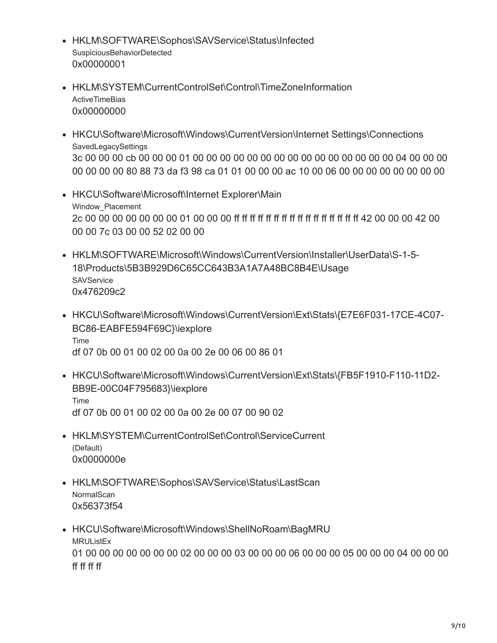- HKLM\SOFTWARE\Sophos\SAVService\Status\Infected SuspiciousBehaviorDetected 0x00000001
- HKLM\SYSTEM\CurrentControlSet\Control\TimeZoneInformation **ActiveTimeBias** 0x00000000
- HKCU\Software\Microsoft\Windows\CurrentVersion\Internet Settings\Connections SavedLegacySettings 3c 00 00 00 cb 00 00 00 01 00 00 00 00 00 00 00 00 00 00 00 00 00 00 00 04 00 00 00 00 00 00 00 80 88 73 da f3 98 ca 01 01 00 00 00 ac 10 00 06 00 00 00 00 00 00 00 00
- HKCU\Software\Microsoft\Internet Explorer\Main Window Placement 2c 00 00 00 00 00 00 00 01 00 00 00 ff ff ff ff ff ff ff ff ff ff ff ff ff ff ff ff 42 00 00 00 42 00 00 00 7c 03 00 00 52 02 00 00
- HKLM\SOFTWARE\Microsoft\Windows\CurrentVersion\Installer\UserData\S-1-5- 18\Products\5B3B929D6C65CC643B3A1A7A48BC8B4E\Usage **SAVService** 0x476209c2
- HKCU\Software\Microsoft\Windows\CurrentVersion\Ext\Stats\{E7E6F031-17CE-4C07- BC86-EABFE594F69C}\iexplore Time df 07 0b 00 01 00 02 00 0a 00 2e 00 06 00 86 01
- HKCU\Software\Microsoft\Windows\CurrentVersion\Ext\Stats\{FB5F1910-F110-11D2- BB9E-00C04F795683}\iexplore Time df 07 0b 00 01 00 02 00 0a 00 2e 00 07 00 90 02
- HKLM\SYSTEM\CurrentControlSet\Control\ServiceCurrent (Default) 0x0000000e
- HKLM\SOFTWARE\Sophos\SAVService\Status\LastScan **NormalScan** 0x56373f54
- HKCU\Software\Microsoft\Windows\ShellNoRoam\BagMRU MRUListEx 01 00 00 00 00 00 00 00 02 00 00 00 03 00 00 00 06 00 00 00 05 00 00 00 04 00 00 00 ff ff ff ff